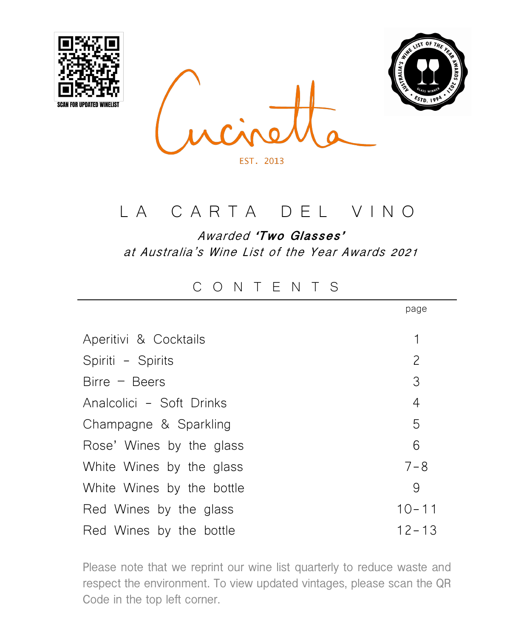





### LA CARTA DEL VINO

Awarded **'Two Glasses'** at Australia's Wine List of the Year Awards 2021

#### CONTENTS

|                           | page           |
|---------------------------|----------------|
| Aperitivi & Cocktails     | 1              |
| Spiriti - Spirits         | $\overline{c}$ |
| $Birre - Beers$           | 3              |
| Analcolici - Soft Drinks  | 4              |
| Champagne & Sparkling     | 5              |
| Rose' Wines by the glass  | 6              |
| White Wines by the glass  | $7 - 8$        |
| White Wines by the bottle | 9              |
| Red Wines by the glass    | $10 - 11$      |
| Red Wines by the bottle   | $12 - 13$      |

Please note that we reprint our wine list quarterly to reduce waste and respect the environment. To view updated vintages, please scan the QR Code in the top left corner.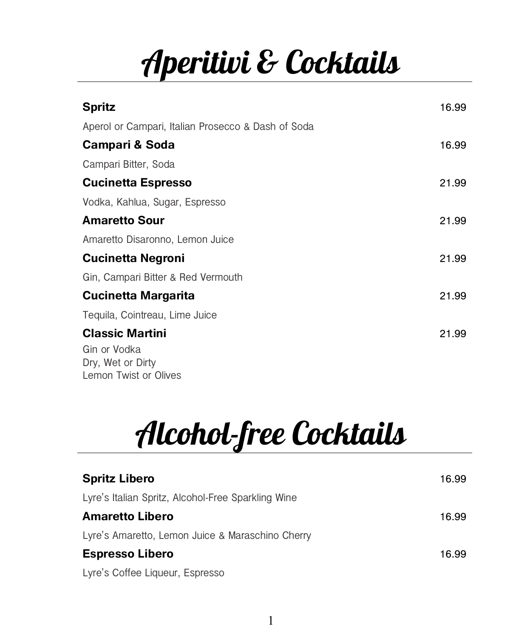# Aperitivi & Cocktails

| <b>Spritz</b>                                      | 16.99 |
|----------------------------------------------------|-------|
| Aperol or Campari, Italian Prosecco & Dash of Soda |       |
| <b>Campari &amp; Soda</b>                          | 16.99 |
| Campari Bitter, Soda                               |       |
| <b>Cucinetta Espresso</b>                          | 21.99 |
| Vodka, Kahlua, Sugar, Espresso                     |       |
| <b>Amaretto Sour</b>                               | 21.99 |
| Amaretto Disaronno, Lemon Juice                    |       |
| <b>Cucinetta Negroni</b>                           | 21.99 |
| Gin, Campari Bitter & Red Vermouth                 |       |
| <b>Cucinetta Margarita</b>                         | 21.99 |
| Tequila, Cointreau, Lime Juice                     |       |
| <b>Classic Martini</b>                             | 21.99 |
| Gin or Vodka                                       |       |
| Dry, Wet or Dirty<br>Lemon Twist or Olives         |       |

# Alcohol-free Cocktails

| <b>Spritz Libero</b>                               | 16.99 |
|----------------------------------------------------|-------|
| Lyre's Italian Spritz, Alcohol-Free Sparkling Wine |       |
| Amaretto Libero                                    | 16.99 |
| Lyre's Amaretto, Lemon Juice & Maraschino Cherry   |       |
| <b>Espresso Libero</b>                             | 16.99 |
| Lyre's Coffee Liqueur, Espresso                    |       |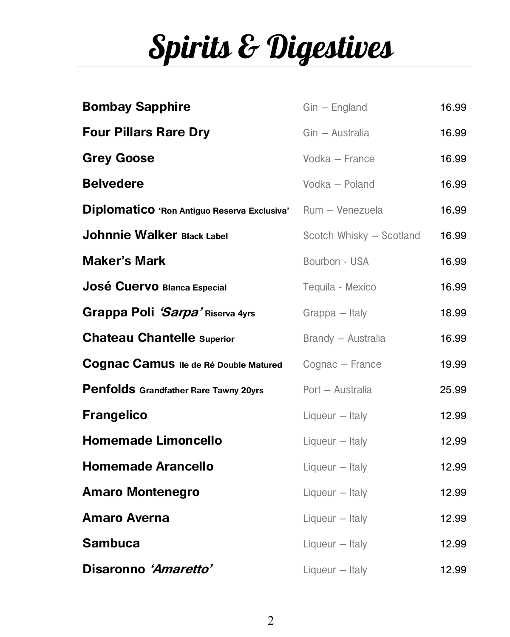# Spirits & Digestives

| <b>Bombay Sapphire</b>                      | $G$ in – England         | 16.99 |
|---------------------------------------------|--------------------------|-------|
| <b>Four Pillars Rare Dry</b>                | Gin - Australia          | 16.99 |
| <b>Grey Goose</b>                           | Vodka - France           | 16.99 |
| <b>Belvedere</b>                            | Vodka - Poland           | 16.99 |
| Diplomatico 'Ron Antiguo Reserva Exclusiva' | Rum - Venezuela          | 16.99 |
| <b>Johnnie Walker Black Label</b>           | Scotch Whisky - Scotland | 16.99 |
| <b>Maker's Mark</b>                         | Bourbon - USA            | 16.99 |
| José Cuervo Blanca Especial                 | Tequila - Mexico         | 16.99 |
| Grappa Poli 'Sarpa' Riserva 4yrs            | Grappa - Italy           | 18.99 |
| <b>Chateau Chantelle Superior</b>           | Brandy - Australia       | 16.99 |
| Cognac Camus Ile de Ré Double Matured       | Cognac - France          | 19.99 |
| Penfolds Grandfather Rare Tawny 20yrs       | Port - Australia         | 25.99 |
| <b>Frangelico</b>                           | Liqueur - Italy          | 12.99 |
| <b>Homemade Limoncello</b>                  | Liqueur - Italy          | 12.99 |
| <b>Homemade Arancello</b>                   | Liqueur - Italy          | 12.99 |
| <b>Amaro Montenegro</b>                     | Liqueur - Italy          | 12.99 |
| <b>Amaro Averna</b>                         | Liqueur - Italy          | 12.99 |
| <b>Sambuca</b>                              | Liqueur - Italy          | 12.99 |
| Disaronno 'Amaretto'                        | Liqueur - Italy          | 12.99 |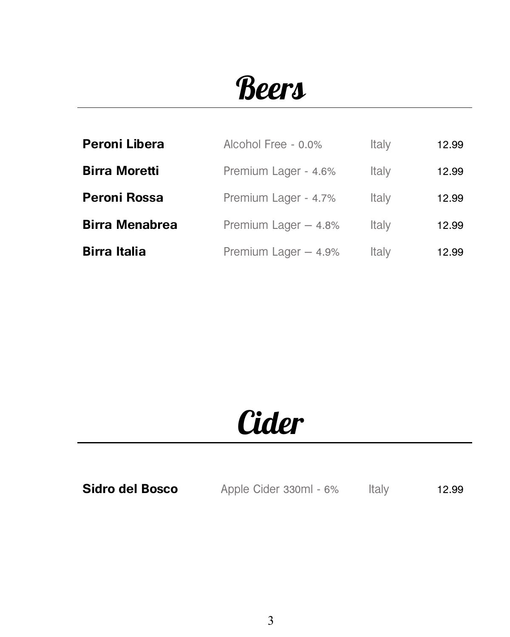### **Beers**

| Peroni Libera         | Alcohol Free - 0.0%   | Italy | 12.99 |
|-----------------------|-----------------------|-------|-------|
| <b>Birra Moretti</b>  | Premium Lager - 4.6%  | Italy | 12.99 |
| Peroni Rossa          | Premium Lager - 4.7%  | Italy | 12.99 |
| <b>Birra Menabrea</b> | Premium Lager $-4.8%$ | Italy | 12.99 |
| <b>Birra Italia</b>   | Premium Lager - 4.9%  | Italy | 12.99 |

### **Cider**

**Sidro del Bosco** Apple Cider 330ml - 6% Italy 12.99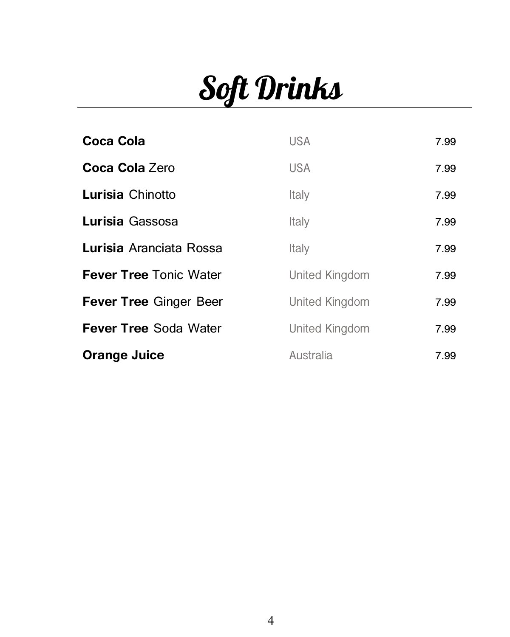# Soft Drinks

| <b>Coca Cola</b>              | <b>USA</b>     | 7.99 |
|-------------------------------|----------------|------|
| Coca Cola Zero                | <b>USA</b>     | 7.99 |
| Lurisia Chinotto              | Italy          | 7.99 |
| Lurisia Gassosa               | Italy          | 7.99 |
| Lurisia Aranciata Rossa       | Italy          | 7.99 |
| <b>Fever Tree Tonic Water</b> | United Kingdom | 7.99 |
| <b>Fever Tree Ginger Beer</b> | United Kingdom | 7.99 |
| <b>Fever Tree Soda Water</b>  | United Kingdom | 7.99 |
| <b>Orange Juice</b>           | Australia      | 7.99 |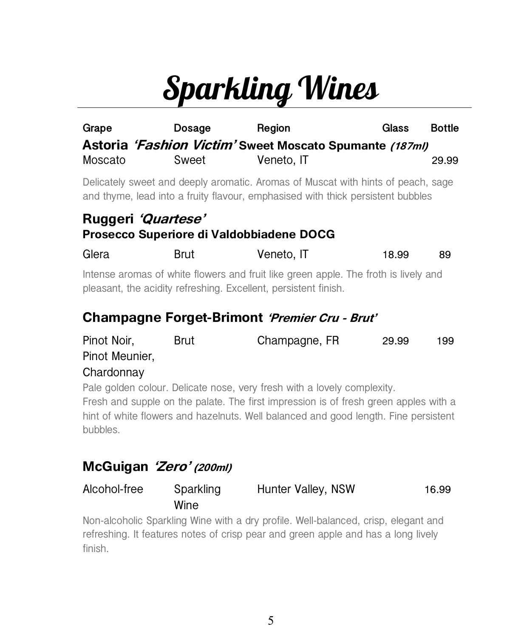# Sparkling Wines

| Grape                                                                                                                                                  | Dosage                                                         | Region<br>Astoria 'Fashion Victim' Sweet Moscato Spumante (187ml)                                                                                                   | Glass | <b>Bottle</b> |  |
|--------------------------------------------------------------------------------------------------------------------------------------------------------|----------------------------------------------------------------|---------------------------------------------------------------------------------------------------------------------------------------------------------------------|-------|---------------|--|
| Moscato                                                                                                                                                | Sweet                                                          | Veneto, IT                                                                                                                                                          |       | 29.99         |  |
|                                                                                                                                                        |                                                                | Delicately sweet and deeply aromatic. Aromas of Muscat with hints of peach, sage<br>and thyme, lead into a fruity flavour, emphasised with thick persistent bubbles |       |               |  |
|                                                                                                                                                        | Ruggeri 'Quartese'<br>Prosecco Superiore di Valdobbiadene DOCG |                                                                                                                                                                     |       |               |  |
| Glera                                                                                                                                                  | Brut                                                           | Veneto, IT                                                                                                                                                          | 18.99 | 89            |  |
| Intense aromas of white flowers and fruit like green apple. The froth is lively and<br>pleasant, the acidity refreshing. Excellent, persistent finish. |                                                                |                                                                                                                                                                     |       |               |  |
|                                                                                                                                                        |                                                                | Champagne Forget-Brimont 'Premier Cru - Brut'                                                                                                                       |       |               |  |
| Pinot Noir,<br>Pinot Meunier,                                                                                                                          | Brut                                                           | Champagne, FR                                                                                                                                                       | 29.99 | 199           |  |

#### **Chardonnay**

Pale golden colour. Delicate nose, very fresh with a lovely complexity. Fresh and supple on the palate. The first impression is of fresh green apples with a hint of white flowers and hazelnuts. Well balanced and good length. Fine persistent bubbles.

#### **McGuigan 'Zero' (200ml)**

| Alcohol-free | Sparkling | Hunter Valley, NSW | 16.99 |
|--------------|-----------|--------------------|-------|
|              | Wine      |                    |       |

Non-alcoholic Sparkling Wine with a dry profile. Well-balanced, crisp, elegant and refreshing. It features notes of crisp pear and green apple and has a long lively finish.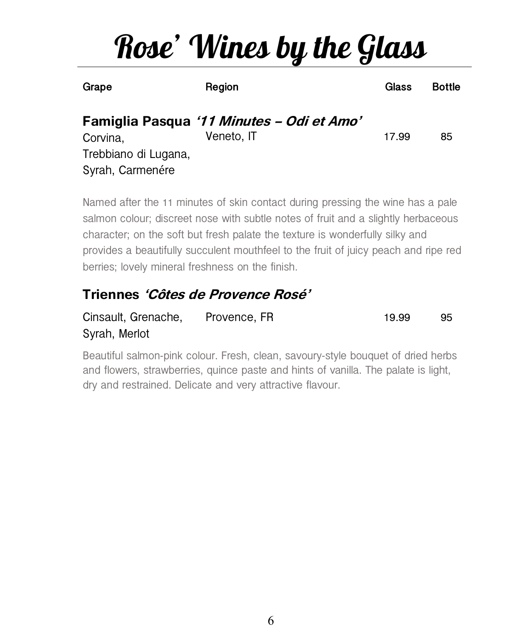# Rose' Wines by the Glass

| Grape                                                | Region                                                  | Glass | <b>Bottle</b> |
|------------------------------------------------------|---------------------------------------------------------|-------|---------------|
| Corvina,<br>Trebbiano di Lugana,<br>Syrah, Carmenére | Famiglia Pasqua '11 Minutes - Odi et Amo'<br>Veneto, IT | 17.99 | 85            |

Named after the 11 minutes of skin contact during pressing the wine has a pale salmon colour; discreet nose with subtle notes of fruit and a slightly herbaceous character; on the soft but fresh palate the texture is wonderfully silky and provides a beautifully succulent mouthfeel to the fruit of juicy peach and ripe red berries; lovely mineral freshness on the finish.

### **Triennes 'Côtes de Provence Rosé'**

| Cinsault, Grenache, | Provence, FR | 19.99 | 95 |
|---------------------|--------------|-------|----|
| Syrah, Merlot       |              |       |    |

Beautiful salmon-pink colour. Fresh, clean, savoury-style bouquet of dried herbs and flowers, strawberries, quince paste and hints of vanilla. The palate is light, dry and restrained. Delicate and very attractive flavour.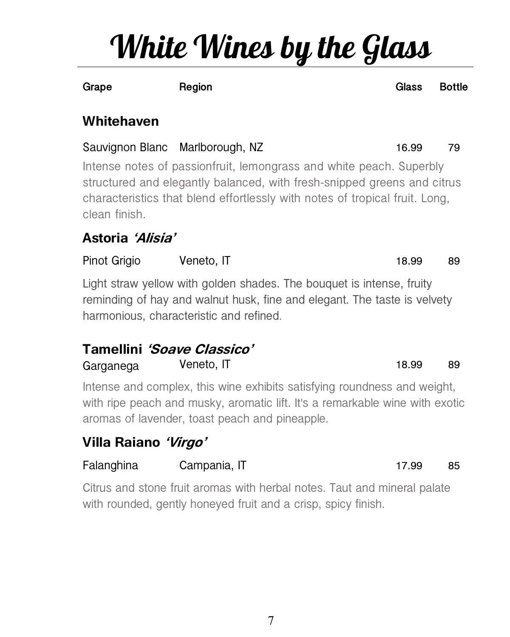## White Wines by the Glass

**Grape Region Glass Bottle**

#### **Whitehaven**

Sauvignon Blanc Marlborough, NZ 16.99 79 Intense notes of passionfruit, lemongrass and white peach. Superbly structured and elegantly balanced, with fresh-snipped greens and citrus characteristics that blend effortlessly with notes of tropical fruit. Long, clean finish.

### **Astoria 'Alisia'**

Pinot Grigio Veneto, IT 18.99 89

Light straw yellow with golden shades. The bouquet is intense, fruity reminding of hay and walnut husk, fine and elegant. The taste is velvety harmonious, characteristic and refined.

### **Tamellini 'Soave Classico'** Garganega Veneto, IT 18.99 89

Intense and complex, this wine exhibits satisfying roundness and weight, with ripe peach and musky, aromatic lift. It's a remarkable wine with exotic aromas of lavender, toast peach and pineapple.

### **Villa Raiano 'Virgo'**

### Falanghina Campania, IT 17.99 85

Citrus and stone fruit aromas with herbal notes. Taut and mineral palate with rounded, gently honeyed fruit and a crisp, spicy finish.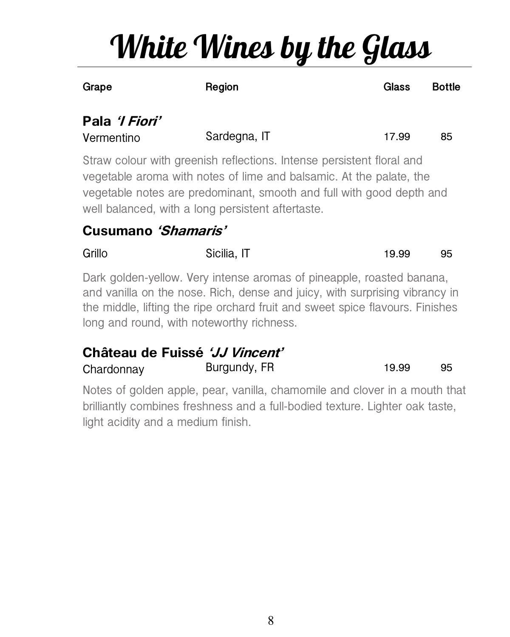# White Wines by the Glass

| ×<br>۰, |
|---------|
|---------|

**Grape Region Glass Bottle**

### **Pala 'I Fiori'**

| Vermentino | Sardegna, IT | 17.99 |  |
|------------|--------------|-------|--|
|            |              |       |  |

Straw colour with greenish reflections. Intense persistent floral and vegetable aroma with notes of lime and balsamic. At the palate, the vegetable notes are predominant, smooth and full with good depth and well balanced, with a long persistent aftertaste.

#### **Cusumano 'Shamaris'**

| Grillo | Sicilia, IT | 19.99 | 95 |
|--------|-------------|-------|----|
|        |             |       |    |

Dark golden-yellow. Very intense aromas of pineapple, roasted banana, and vanilla on the nose. Rich, dense and juicy, with surprising vibrancy in the middle, lifting the ripe orchard fruit and sweet spice flavours. Finishes long and round, with noteworthy richness.

### **Château de Fuissé 'JJ Vincent'**

Burgundy, FR 19.99 95

Notes of golden apple, pear, vanilla, chamomile and clover in a mouth that brilliantly combines freshness and a full-bodied texture. Lighter oak taste, light acidity and a medium finish.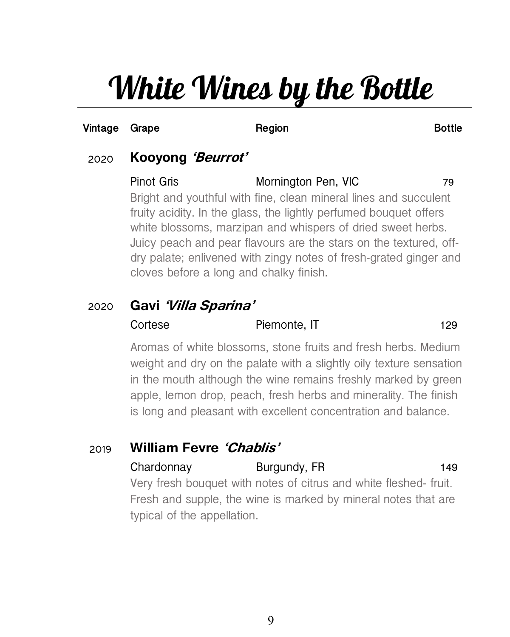## White Wines by the Bottle

#### **Vintage Grape Region Bottle**

#### 2020 **Kooyong 'Beurrot'**

Pinot Gris **Mornington Pen, VIC** 79 Bright and youthful with fine, clean mineral lines and succulent fruity acidity. In the glass, the lightly perfumed bouquet offers white blossoms, marzipan and whispers of dried sweet herbs. Juicy peach and pear flavours are the stars on the textured, offdry palate; enlivened with zingy notes of fresh-grated ginger and cloves before a long and chalky finish.

#### 2020 **Gavi 'Villa Sparina'**

#### Cortese Piemonte, IT 129

Aromas of white blossoms, stone fruits and fresh herbs. Medium weight and dry on the palate with a slightly oily texture sensation in the mouth although the wine remains freshly marked by green apple, lemon drop, peach, fresh herbs and minerality. The finish is long and pleasant with excellent concentration and balance.

#### 2019 **William Fevre 'Chablis'**

#### Chardonnay Burgundy, FR 149

Very fresh bouquet with notes of citrus and white fleshed- fruit. Fresh and supple, the wine is marked by mineral notes that are typical of the appellation.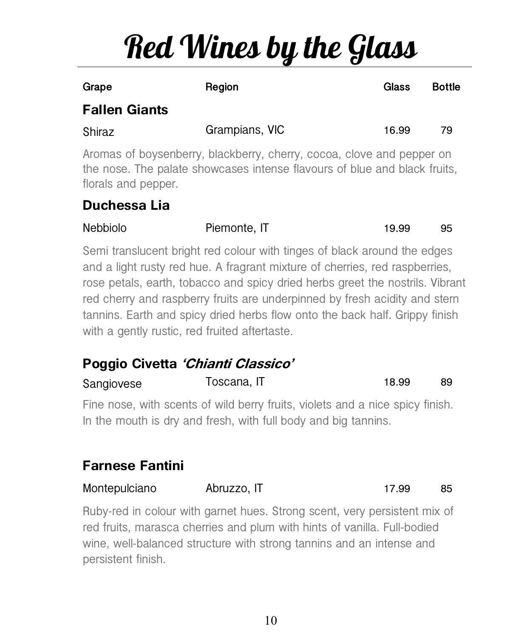# Red Wines by the Glass

| Grape                                                                                                                                                                     | Region         | Glass | <b>Bottle</b> |  |
|---------------------------------------------------------------------------------------------------------------------------------------------------------------------------|----------------|-------|---------------|--|
| <b>Fallen Giants</b>                                                                                                                                                      |                |       |               |  |
| Shiraz                                                                                                                                                                    | Grampians, VIC | 16.99 | 79            |  |
| Aromas of boysenberry, blackberry, cherry, cocoa, clove and pepper on<br>the nose. The palate showcases intense flavours of blue and black fruits,<br>florals and pepper. |                |       |               |  |
| Dualesses 11-                                                                                                                                                             |                |       |               |  |

#### **Duchessa Lia**

| <b>Nebbiolo</b>                               | Piemonte, IT                                                                                                                                                                                                                                                                                                                                                                                          | 19.99 | 95 |
|-----------------------------------------------|-------------------------------------------------------------------------------------------------------------------------------------------------------------------------------------------------------------------------------------------------------------------------------------------------------------------------------------------------------------------------------------------------------|-------|----|
| with a gently rustic, red fruited aftertaste. | Semi translucent bright red colour with tinges of black around the edges<br>and a light rusty red hue. A fragrant mixture of cherries, red raspberries,<br>rose petals, earth, tobacco and spicy dried herbs greet the nostrils. Vibrant<br>red cherry and raspberry fruits are underpinned by fresh acidity and stern<br>tannins. Earth and spicy dried herbs flow onto the back half. Grippy finish |       |    |

### **Poggio Civetta 'Chianti Classico'**

| Sangiovese | Toscana, IT                                                                                                                                     | 18.99 | 89 |
|------------|-------------------------------------------------------------------------------------------------------------------------------------------------|-------|----|
|            | Fine nose, with scents of wild berry fruits, violets and a nice spicy finish.<br>In the mouth is dry and fresh, with full body and big tannins. |       |    |
|            |                                                                                                                                                 |       |    |

### **Farnese Fantini**

Montepulciano Abruzzo, IT 17.99 85

Ruby-red in colour with garnet hues. Strong scent, very persistent mix of red fruits, marasca cherries and plum with hints of vanilla. Full-bodied wine, well-balanced structure with strong tannins and an intense and persistent finish.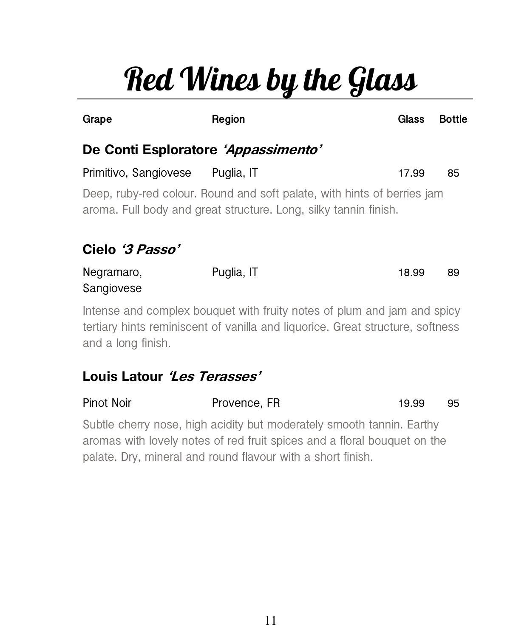# Red Wines by the Glass

| Grape                                                                                                                                                                           | Region     |  | Glass | <b>Bottle</b> |  |
|---------------------------------------------------------------------------------------------------------------------------------------------------------------------------------|------------|--|-------|---------------|--|
| De Conti Esploratore 'Appassimento'                                                                                                                                             |            |  |       |               |  |
| Primitivo, Sangiovese Puglia, IT                                                                                                                                                |            |  | 17.99 | 85            |  |
| Deep, ruby-red colour. Round and soft palate, with hints of berries jam<br>aroma. Full body and great structure. Long, silky tannin finish.<br>Cielo '3 Passo'                  |            |  |       |               |  |
| Negramaro,<br>Sangiovese                                                                                                                                                        | Puglia, IT |  | 18.99 | 89            |  |
| Intense and complex bouquet with fruity notes of plum and jam and spicy<br>tertiary hints reminiscent of vanilla and liquorice. Great structure, softness<br>and a long finish. |            |  |       |               |  |
| Louis Latour <i>'Les Terasses'</i>                                                                                                                                              |            |  |       |               |  |

### Pinot Noir **Provence, FR** 19.99 95

Subtle cherry nose, high acidity but moderately smooth tannin. Earthy aromas with lovely notes of red fruit spices and a floral bouquet on the palate. Dry, mineral and round flavour with a short finish.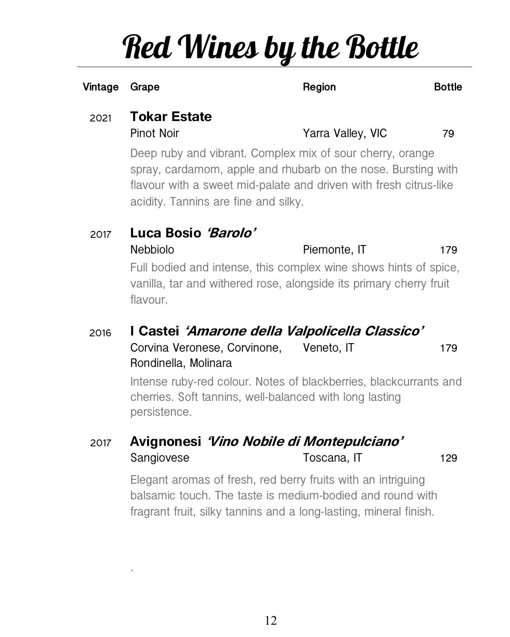## Red Wines by the Bottle

| Vintage | Grape                                    | Region                                                                                                                                                                                                                                  | <b>Bottle</b> |  |
|---------|------------------------------------------|-----------------------------------------------------------------------------------------------------------------------------------------------------------------------------------------------------------------------------------------|---------------|--|
| 2021    | <b>Tokar Estate</b><br><b>Pinot Noir</b> | Yarra Valley, VIC                                                                                                                                                                                                                       | 79            |  |
|         |                                          | Deep ruby and vibrant. Complex mix of sour cherry, orange<br>spray, cardamom, apple and rhubarb on the nose. Bursting with<br>flavour with a sweet mid-palate and driven with fresh citrus-like<br>acidity. Tannins are fine and silky. |               |  |
| 2017    | Luca Bosio 'Barolo'                      |                                                                                                                                                                                                                                         |               |  |
|         | <b>Nebbiolo</b>                          | Piemonte, IT                                                                                                                                                                                                                            | 179           |  |
|         |                                          | Full bodied and intense this complex wine shows hints of spieg.                                                                                                                                                                         |               |  |

Full bodied and intense, this complex wine shows hints of spice, vanilla, tar and withered rose, alongside its primary cherry fruit flavour.

#### 2016 **I Castei 'Amarone della Valpolicella Classico'** Corvina Veronese, Corvinone, Rondinella, Molinara Veneto, IT 179

Intense ruby-red colour. Notes of blackberries, blackcurrants and cherries. Soft tannins, well-balanced with long lasting persistence.

#### 2017 **Avignonesi 'Vino Nobile di Montepulciano'** Sangiovese Toscana, IT 129

.

Elegant aromas of fresh, red berry fruits with an intriguing balsamic touch. The taste is medium-bodied and round with fragrant fruit, silky tannins and a long-lasting, mineral finish.